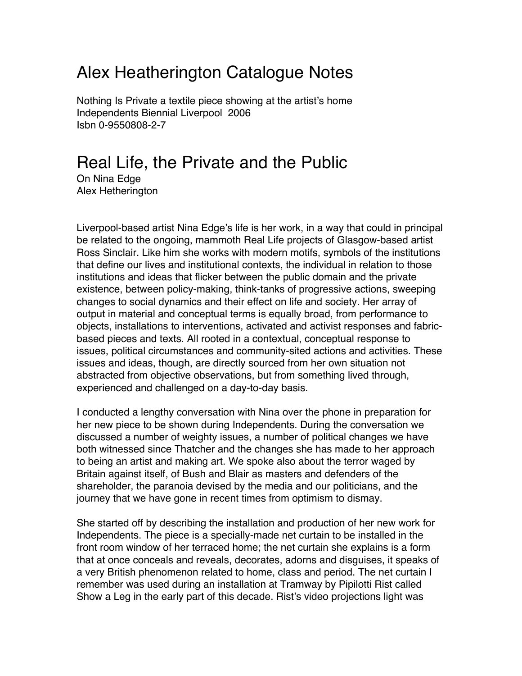## Alex Heatherington Catalogue Notes

Nothing Is Private a textile piece showing at the artist's home Independents Biennial Liverpool 2006 Isbn 0-9550808-2-7

## Real Life, the Private and the Public

On Nina Edge Alex Hetherington

Liverpool-based artist Nina Edge's life is her work, in a way that could in principal be related to the ongoing, mammoth Real Life projects of Glasgow-based artist Ross Sinclair. Like him she works with modern motifs, symbols of the institutions that define our lives and institutional contexts, the individual in relation to those institutions and ideas that flicker between the public domain and the private existence, between policy-making, think-tanks of progressive actions, sweeping changes to social dynamics and their effect on life and society. Her array of output in material and conceptual terms is equally broad, from performance to objects, installations to interventions, activated and activist responses and fabricbased pieces and texts. All rooted in a contextual, conceptual response to issues, political circumstances and community-sited actions and activities. These issues and ideas, though, are directly sourced from her own situation not abstracted from objective observations, but from something lived through, experienced and challenged on a day-to-day basis.

I conducted a lengthy conversation with Nina over the phone in preparation for her new piece to be shown during Independents. During the conversation we discussed a number of weighty issues, a number of political changes we have both witnessed since Thatcher and the changes she has made to her approach to being an artist and making art. We spoke also about the terror waged by Britain against itself, of Bush and Blair as masters and defenders of the shareholder, the paranoia devised by the media and our politicians, and the journey that we have gone in recent times from optimism to dismay.

She started off by describing the installation and production of her new work for Independents. The piece is a specially-made net curtain to be installed in the front room window of her terraced home; the net curtain she explains is a form that at once conceals and reveals, decorates, adorns and disguises, it speaks of a very British phenomenon related to home, class and period. The net curtain I remember was used during an installation at Tramway by Pipilotti Rist called Show a Leg in the early part of this decade. Rist's video projections light was